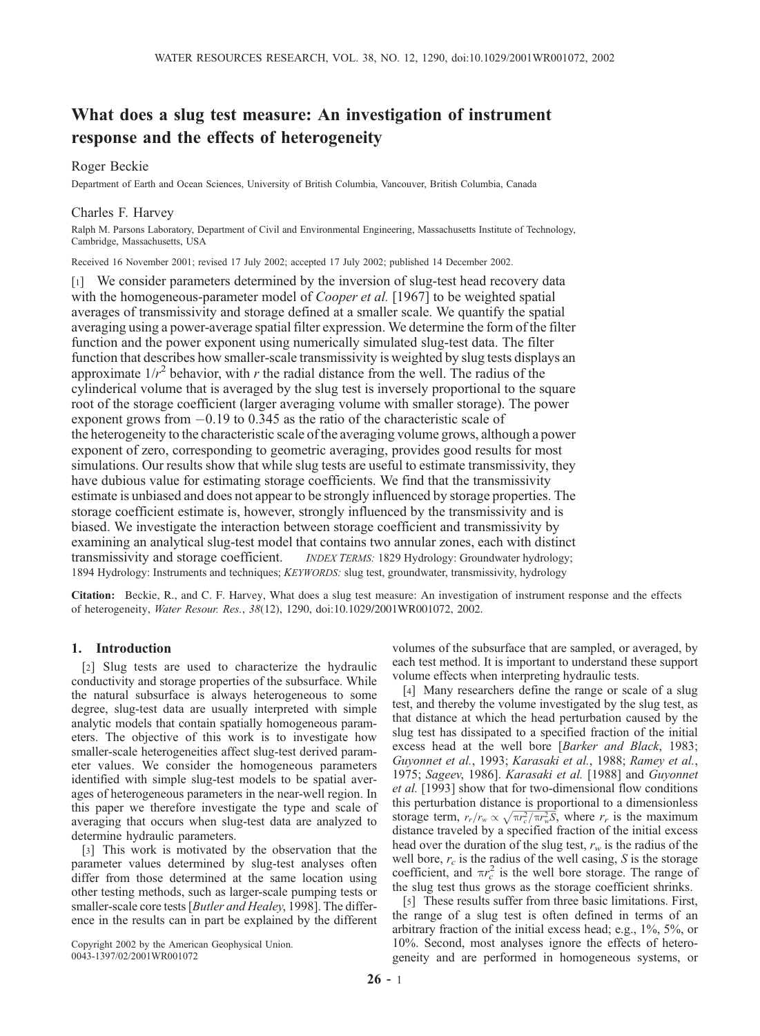# What does a slug test measure: An investigation of instrument response and the effects of heterogeneity

## Roger Beckie

Department of Earth and Ocean Sciences, University of British Columbia, Vancouver, British Columbia, Canada

## Charles F. Harvey

Ralph M. Parsons Laboratory, Department of Civil and Environmental Engineering, Massachusetts Institute of Technology, Cambridge, Massachusetts, USA

Received 16 November 2001; revised 17 July 2002; accepted 17 July 2002; published 14 December 2002.

[1] We consider parameters determined by the inversion of slug-test head recovery data with the homogeneous-parameter model of *Cooper et al.* [1967] to be weighted spatial averages of transmissivity and storage defined at a smaller scale. We quantify the spatial averaging using a power-average spatial filter expression. We determine the form of the filter function and the power exponent using numerically simulated slug-test data. The filter function that describes how smaller-scale transmissivity is weighted by slug tests displays an approximate  $1/r^2$  behavior, with r the radial distance from the well. The radius of the cylinderical volume that is averaged by the slug test is inversely proportional to the square root of the storage coefficient (larger averaging volume with smaller storage). The power exponent grows from  $-0.19$  to 0.345 as the ratio of the characteristic scale of the heterogeneity to the characteristic scale of the averaging volume grows, although a power exponent of zero, corresponding to geometric averaging, provides good results for most simulations. Our results show that while slug tests are useful to estimate transmissivity, they have dubious value for estimating storage coefficients. We find that the transmissivity estimate is unbiased and does not appear to be strongly influenced by storage properties. The storage coefficient estimate is, however, strongly influenced by the transmissivity and is biased. We investigate the interaction between storage coefficient and transmissivity by examining an analytical slug-test model that contains two annular zones, each with distinct transmissivity and storage coefficient. *INDEX TERMS:* 1829 Hydrology: Groundwater hydrology; 1894 Hydrology: Instruments and techniques; KEYWORDS: slug test, groundwater, transmissivity, hydrology

Citation: Beckie, R., and C. F. Harvey, What does a slug test measure: An investigation of instrument response and the effects of heterogeneity, Water Resour. Res., 38(12), 1290, doi:10.1029/2001WR001072, 2002.

## 1. Introduction

[2] Slug tests are used to characterize the hydraulic conductivity and storage properties of the subsurface. While the natural subsurface is always heterogeneous to some degree, slug-test data are usually interpreted with simple analytic models that contain spatially homogeneous parameters. The objective of this work is to investigate how smaller-scale heterogeneities affect slug-test derived parameter values. We consider the homogeneous parameters identified with simple slug-test models to be spatial averages of heterogeneous parameters in the near-well region. In this paper we therefore investigate the type and scale of averaging that occurs when slug-test data are analyzed to determine hydraulic parameters.

[3] This work is motivated by the observation that the parameter values determined by slug-test analyses often differ from those determined at the same location using other testing methods, such as larger-scale pumping tests or smaller-scale core tests [Butler and Healey, 1998]. The difference in the results can in part be explained by the different

Copyright 2002 by the American Geophysical Union. 0043-1397/02/2001WR001072

volumes of the subsurface that are sampled, or averaged, by each test method. It is important to understand these support volume effects when interpreting hydraulic tests.

[4] Many researchers define the range or scale of a slug test, and thereby the volume investigated by the slug test, as that distance at which the head perturbation caused by the slug test has dissipated to a specified fraction of the initial excess head at the well bore [Barker and Black, 1983; Guyonnet et al., 1993; Karasaki et al., 1988; Ramey et al., 1975; Sageev, 1986]. Karasaki et al. [1988] and Guyonnet et al. [1993] show that for two-dimensional flow conditions this perturbation distance is proportional to a dimensionless storage term,  $r_r/r_w \propto \sqrt{\pi r_c^2/\pi r_w^2}$ , where  $r_r$  is the maximum distance traveled by a specified fraction of the initial excess head over the duration of the slug test,  $r_w$  is the radius of the well bore,  $r_c$  is the radius of the well casing, S is the storage coefficient, and  $\pi r_c^2$  is the well bore storage. The range of the slug test thus grows as the storage coefficient shrinks.

[5] These results suffer from three basic limitations. First, the range of a slug test is often defined in terms of an arbitrary fraction of the initial excess head; e.g., 1%, 5%, or 10%. Second, most analyses ignore the effects of heterogeneity and are performed in homogeneous systems, or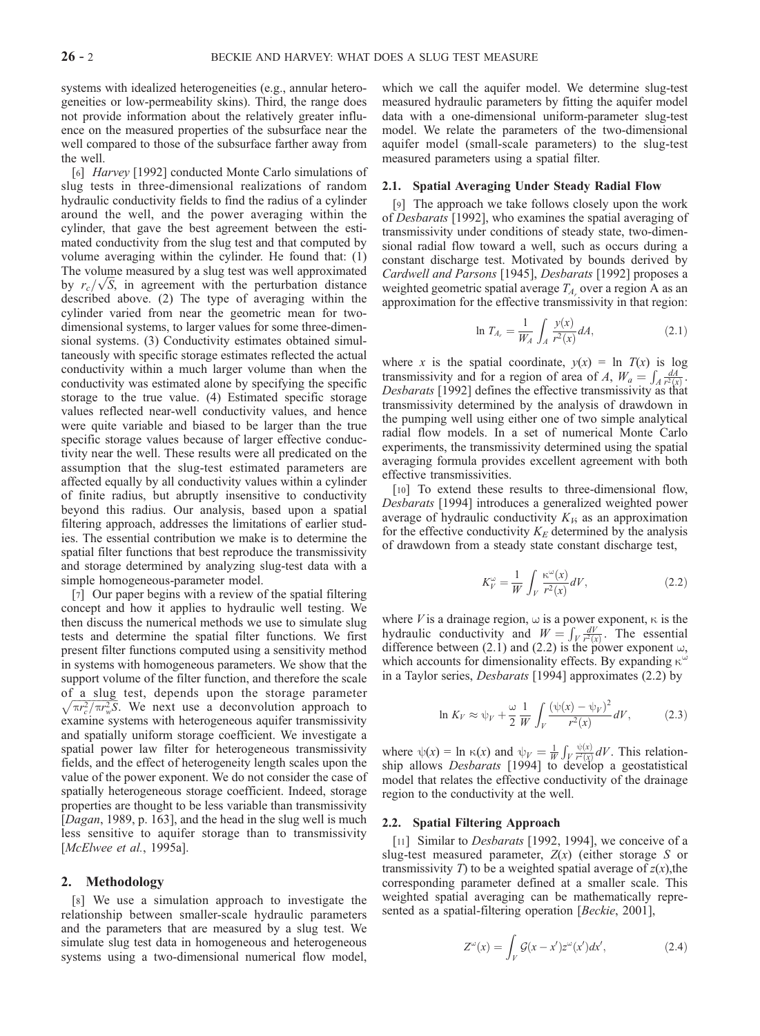systems with idealized heterogeneities (e.g., annular heterogeneities or low-permeability skins). Third, the range does not provide information about the relatively greater influence on the measured properties of the subsurface near the well compared to those of the subsurface farther away from the well.

[6] Harvey [1992] conducted Monte Carlo simulations of slug tests in three-dimensional realizations of random hydraulic conductivity fields to find the radius of a cylinder around the well, and the power averaging within the cylinder, that gave the best agreement between the estimated conductivity from the slug test and that computed by volume averaging within the cylinder. He found that: (1) The volume measured by a slug test was well approximated The volume measured by a slug test was well approximated<br>by  $r_c/\sqrt{S}$ , in agreement with the perturbation distance described above. (2) The type of averaging within the cylinder varied from near the geometric mean for twodimensional systems, to larger values for some three-dimensional systems. (3) Conductivity estimates obtained simultaneously with specific storage estimates reflected the actual conductivity within a much larger volume than when the conductivity was estimated alone by specifying the specific storage to the true value. (4) Estimated specific storage values reflected near-well conductivity values, and hence were quite variable and biased to be larger than the true specific storage values because of larger effective conductivity near the well. These results were all predicated on the assumption that the slug-test estimated parameters are affected equally by all conductivity values within a cylinder of finite radius, but abruptly insensitive to conductivity beyond this radius. Our analysis, based upon a spatial filtering approach, addresses the limitations of earlier studies. The essential contribution we make is to determine the spatial filter functions that best reproduce the transmissivity and storage determined by analyzing slug-test data with a simple homogeneous-parameter model.

[7] Our paper begins with a review of the spatial filtering concept and how it applies to hydraulic well testing. We then discuss the numerical methods we use to simulate slug tests and determine the spatial filter functions. We first present filter functions computed using a sensitivity method in systems with homogeneous parameters. We show that the support volume of the filter function, and therefore the scale of a slug test, depends upon the storage parameter  $\sqrt{\pi r_c^2/\pi r_w^2 S}$ . We next use a deconvolution approach to examine systems with heterogeneous aquifer transmissivity and spatially uniform storage coefficient. We investigate a spatial power law filter for heterogeneous transmissivity fields, and the effect of heterogeneity length scales upon the value of the power exponent. We do not consider the case of spatially heterogeneous storage coefficient. Indeed, storage properties are thought to be less variable than transmissivity [*Dagan*, 1989, p. 163], and the head in the slug well is much less sensitive to aquifer storage than to transmissivity [*McElwee et al.*, 1995a].

## 2. Methodology

[8] We use a simulation approach to investigate the relationship between smaller-scale hydraulic parameters and the parameters that are measured by a slug test. We simulate slug test data in homogeneous and heterogeneous systems using a two-dimensional numerical flow model,

which we call the aquifer model. We determine slug-test measured hydraulic parameters by fitting the aquifer model data with a one-dimensional uniform-parameter slug-test model. We relate the parameters of the two-dimensional aquifer model (small-scale parameters) to the slug-test measured parameters using a spatial filter.

#### 2.1. Spatial Averaging Under Steady Radial Flow

[9] The approach we take follows closely upon the work of Desbarats [1992], who examines the spatial averaging of transmissivity under conditions of steady state, two-dimensional radial flow toward a well, such as occurs during a constant discharge test. Motivated by bounds derived by Cardwell and Parsons [1945], Desbarats [1992] proposes a weighted geometric spatial average  $T_A$  over a region A as an approximation for the effective transmissivity in that region:

$$
\ln T_{A_r} = \frac{1}{W_A} \int_A \frac{y(x)}{r^2(x)} dA,
$$
\n(2.1)

where x is the spatial coordinate,  $y(x) = \ln T(x)$  is log transmissivity and for a region of area of A,  $W_a = \int_A \frac{dA}{r^2(x)}$ . Desbarats [1992] defines the effective transmissivity as that transmissivity determined by the analysis of drawdown in the pumping well using either one of two simple analytical radial flow models. In a set of numerical Monte Carlo experiments, the transmissivity determined using the spatial averaging formula provides excellent agreement with both effective transmissivities.

[10] To extend these results to three-dimensional flow, Desbarats [1994] introduces a generalized weighted power average of hydraulic conductivity  $K_{\mathcal{V}}$  as an approximation for the effective conductivity  $K_E$  determined by the analysis of drawdown from a steady state constant discharge test,

$$
K_V^{\omega} = \frac{1}{W} \int_V \frac{\kappa^{\omega}(x)}{r^2(x)} dV, \qquad (2.2)
$$

where *V* is a drainage region,  $\omega$  is a power exponent,  $\kappa$  is the where *v* is a trainage region,  $\omega$  is a power exponent,  $\kappa$  is the hydraulic conductivity and  $W = \int_V \frac{dV}{r^2(x)}$ . The essential difference between (2.1) and (2.2) is the power exponent  $\omega$ , which accounts for dimensionality effects. By expanding  $\kappa^{\omega}$ in a Taylor series, Desbarats [1994] approximates (2.2) by

$$
\ln K_V \approx \psi_V + \frac{\omega}{2} \frac{1}{W} \int_V \frac{\left(\psi(x) - \psi_V\right)^2}{r^2(x)} dV,\tag{2.3}
$$

where  $\psi(x) = \ln \kappa(x)$  and  $\psi_y = \frac{1}{W}$ R  $V \frac{\psi(x)}{r^2(x)} dV$ . This relationship allows *Desbarats* [1994] to develop a geostatistical model that relates the effective conductivity of the drainage region to the conductivity at the well.

#### 2.2. Spatial Filtering Approach

[11] Similar to *Desbarats* [1992, 1994], we conceive of a slug-test measured parameter,  $Z(x)$  (either storage S or transmissivity T to be a weighted spatial average of  $z(x)$ , the corresponding parameter defined at a smaller scale. This weighted spatial averaging can be mathematically represented as a spatial-filtering operation [*Beckie*, 2001],

$$
Z^{\omega}(x) = \int_{V} \mathcal{G}(x - x') z^{\omega}(x') dx', \qquad (2.4)
$$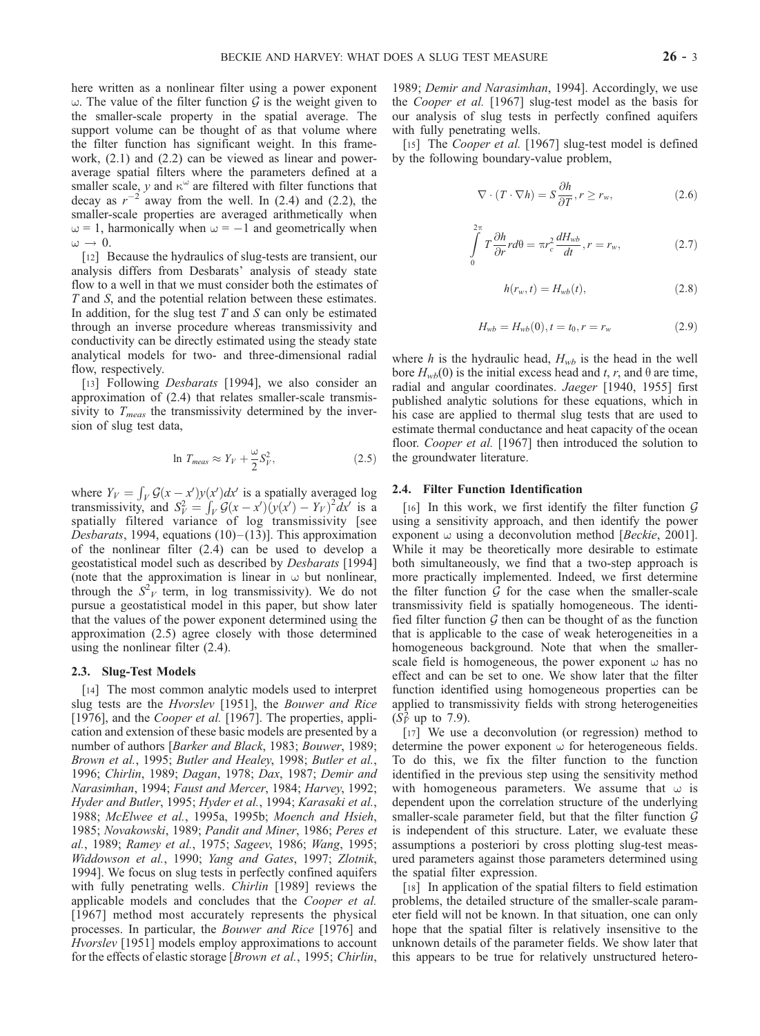here written as a nonlinear filter using a power exponent w. The value of the filter function  $\mathcal G$  is the weight given to the smaller-scale property in the spatial average. The support volume can be thought of as that volume where the filter function has significant weight. In this framework, (2.1) and (2.2) can be viewed as linear and poweraverage spatial filters where the parameters defined at a smaller scale, y and  $\kappa^{\omega}$  are filtered with filter functions that decay as  $r^{-2}$  away from the well. In (2.4) and (2.2), the smaller-scale properties are averaged arithmetically when  $\omega = 1$ , harmonically when  $\omega = -1$  and geometrically when  $\omega \rightarrow 0.$ 

[12] Because the hydraulics of slug-tests are transient, our analysis differs from Desbarats' analysis of steady state flow to a well in that we must consider both the estimates of T and S, and the potential relation between these estimates. In addition, for the slug test  $T$  and  $S$  can only be estimated through an inverse procedure whereas transmissivity and conductivity can be directly estimated using the steady state analytical models for two- and three-dimensional radial flow, respectively.

[13] Following *Desbarats* [1994], we also consider an approximation of (2.4) that relates smaller-scale transmissivity to  $T_{meas}$  the transmissivity determined by the inversion of slug test data,

$$
\ln T_{meas} \approx Y_V + \frac{\omega}{2} S_V^2,\tag{2.5}
$$

where  $Y_V = \int_V \mathcal{G}(x - x')v(x')dx'$  is a spatially averaged log where  $T_V = J_V g(x - x) y(x) dx$  is a spatially averaged to g<br>transmissivity, and  $S_V^2 = \int_V \mathcal{G}(x - x') (y(x') - Y_V)^2 dx'$  is a spatially filtered variance of log transmissivity [see Desbarats, 1994, equations  $(10)$  – $(13)$ ]. This approximation of the nonlinear filter (2.4) can be used to develop a geostatistical model such as described by Desbarats [1994] (note that the approximation is linear in  $\omega$  but nonlinear, through the  $S^2$ <sup>1</sup> term, in log transmissivity). We do not pursue a geostatistical model in this paper, but show later that the values of the power exponent determined using the approximation (2.5) agree closely with those determined using the nonlinear filter (2.4).

#### 2.3. Slug-Test Models

[14] The most common analytic models used to interpret slug tests are the Hvorslev [1951], the Bouwer and Rice [1976], and the *Cooper et al.* [1967]. The properties, application and extension of these basic models are presented by a number of authors [Barker and Black, 1983; Bouwer, 1989; Brown et al., 1995; Butler and Healey, 1998; Butler et al., 1996; Chirlin, 1989; Dagan, 1978; Dax, 1987; Demir and Narasimhan, 1994; Faust and Mercer, 1984; Harvey, 1992; Hyder and Butler, 1995; Hyder et al., 1994; Karasaki et al., 1988; McElwee et al., 1995a, 1995b; Moench and Hsieh, 1985; Novakowski, 1989; Pandit and Miner, 1986; Peres et al., 1989; Ramey et al., 1975; Sageev, 1986; Wang, 1995; Widdowson et al., 1990; Yang and Gates, 1997; Zlotnik, 1994]. We focus on slug tests in perfectly confined aquifers with fully penetrating wells. *Chirlin* [1989] reviews the applicable models and concludes that the Cooper et al. [1967] method most accurately represents the physical processes. In particular, the Bouwer and Rice [1976] and Hvorslev [1951] models employ approximations to account for the effects of elastic storage [Brown et al., 1995; Chirlin, 1989; Demir and Narasimhan, 1994]. Accordingly, we use the Cooper et al. [1967] slug-test model as the basis for our analysis of slug tests in perfectly confined aquifers with fully penetrating wells.

[15] The *Cooper et al.* [1967] slug-test model is defined by the following boundary-value problem,

$$
\nabla \cdot (T \cdot \nabla h) = S \frac{\partial h}{\partial T}, r \ge r_w,
$$
\n(2.6)

$$
\int_{0}^{2\pi} T \frac{\partial h}{\partial r} r d\theta = \pi r_c^2 \frac{dH_{wb}}{dt}, r = r_w,
$$
\n(2.7)

$$
h(r_w, t) = H_{wb}(t),
$$
\n(2.8)

$$
H_{wb} = H_{wb}(0), t = t_0, r = r_w \tag{2.9}
$$

where h is the hydraulic head,  $H_{wb}$  is the head in the well bore  $H_{wb}(0)$  is the initial excess head and t, r, and  $\theta$  are time, radial and angular coordinates. Jaeger [1940, 1955] first published analytic solutions for these equations, which in his case are applied to thermal slug tests that are used to estimate thermal conductance and heat capacity of the ocean floor. Cooper et al. [1967] then introduced the solution to the groundwater literature.

#### 2.4. Filter Function Identification

[16] In this work, we first identify the filter function  $G$ using a sensitivity approach, and then identify the power exponent  $\omega$  using a deconvolution method [*Beckie*, 2001]. While it may be theoretically more desirable to estimate both simultaneously, we find that a two-step approach is more practically implemented. Indeed, we first determine the filter function  $G$  for the case when the smaller-scale transmissivity field is spatially homogeneous. The identified filter function  $G$  then can be thought of as the function that is applicable to the case of weak heterogeneities in a homogeneous background. Note that when the smallerscale field is homogeneous, the power exponent  $\omega$  has no effect and can be set to one. We show later that the filter function identified using homogeneous properties can be applied to transmissivity fields with strong heterogeneities  $(\hat{S}_V^2 \text{ up to } 7.9).$ 

[17] We use a deconvolution (or regression) method to determine the power exponent  $\omega$  for heterogeneous fields. To do this, we fix the filter function to the function identified in the previous step using the sensitivity method with homogeneous parameters. We assume that  $\omega$  is dependent upon the correlation structure of the underlying smaller-scale parameter field, but that the filter function  $G$ is independent of this structure. Later, we evaluate these assumptions a posteriori by cross plotting slug-test measured parameters against those parameters determined using the spatial filter expression.

[18] In application of the spatial filters to field estimation problems, the detailed structure of the smaller-scale parameter field will not be known. In that situation, one can only hope that the spatial filter is relatively insensitive to the unknown details of the parameter fields. We show later that this appears to be true for relatively unstructured hetero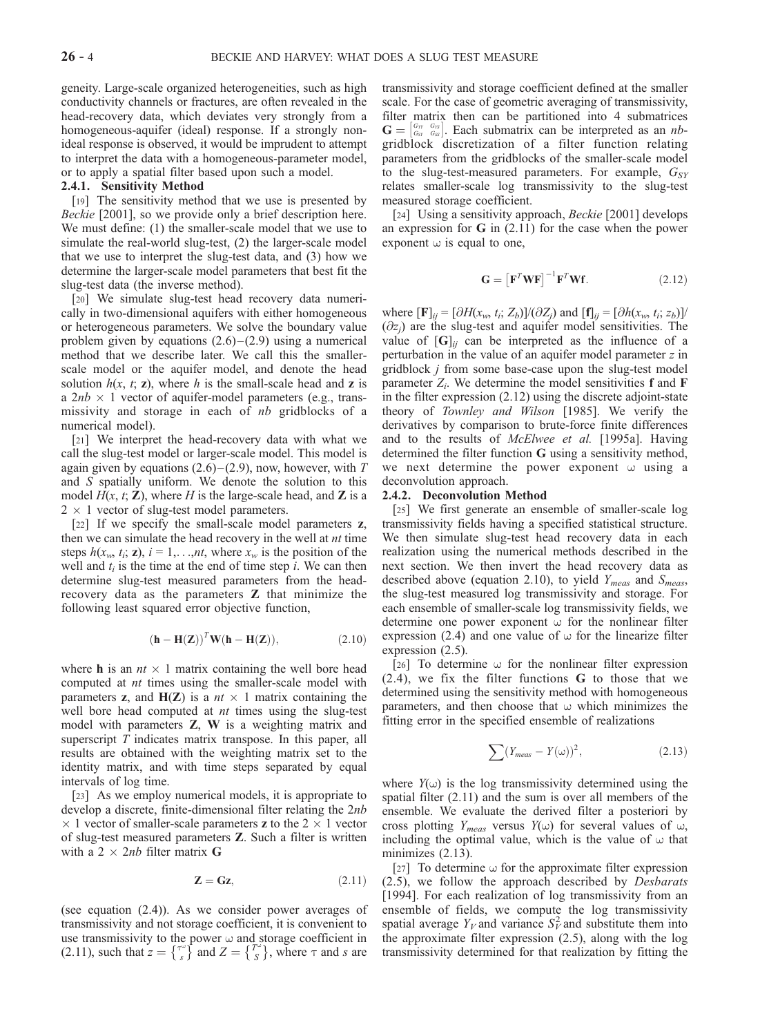geneity. Large-scale organized heterogeneities, such as high conductivity channels or fractures, are often revealed in the head-recovery data, which deviates very strongly from a homogeneous-aquifer (ideal) response. If a strongly nonideal response is observed, it would be imprudent to attempt to interpret the data with a homogeneous-parameter model, or to apply a spatial filter based upon such a model.

## 2.4.1. Sensitivity Method

[19] The sensitivity method that we use is presented by Beckie [2001], so we provide only a brief description here. We must define: (1) the smaller-scale model that we use to simulate the real-world slug-test, (2) the larger-scale model that we use to interpret the slug-test data, and (3) how we determine the larger-scale model parameters that best fit the slug-test data (the inverse method).

[20] We simulate slug-test head recovery data numerically in two-dimensional aquifers with either homogeneous or heterogeneous parameters. We solve the boundary value problem given by equations  $(2.6)$ – $(2.9)$  using a numerical method that we describe later. We call this the smallerscale model or the aquifer model, and denote the head solution  $h(x, t; z)$ , where h is the small-scale head and z is a  $2nb \times 1$  vector of aquifer-model parameters (e.g., transmissivity and storage in each of nb gridblocks of a numerical model).

[21] We interpret the head-recovery data with what we call the slug-test model or larger-scale model. This model is again given by equations  $(2.6)$  –  $(2.9)$ , now, however, with T and S spatially uniform. We denote the solution to this model  $H(x, t; \mathbf{Z})$ , where H is the large-scale head, and **Z** is a  $2 \times 1$  vector of slug-test model parameters.

[22] If we specify the small-scale model parameters z, then we can simulate the head recovery in the well at *nt* time steps  $h(x_w, t_i; \mathbf{z})$ ,  $i = 1, \ldots, nt$ , where  $x_w$  is the position of the well and  $t_i$  is the time at the end of time step i. We can then determine slug-test measured parameters from the headrecovery data as the parameters Z that minimize the following least squared error objective function,

$$
(\mathbf{h} - \mathbf{H}(\mathbf{Z}))^T \mathbf{W} (\mathbf{h} - \mathbf{H}(\mathbf{Z})), \tag{2.10}
$$

where **h** is an  $nt \times 1$  matrix containing the well bore head computed at nt times using the smaller-scale model with parameters z, and  $H(Z)$  is a  $nt \times 1$  matrix containing the well bore head computed at *nt* times using the slug-test model with parameters Z, W is a weighting matrix and superscript  $T$  indicates matrix transpose. In this paper, all results are obtained with the weighting matrix set to the identity matrix, and with time steps separated by equal intervals of log time.

[23] As we employ numerical models, it is appropriate to develop a discrete, finite-dimensional filter relating the 2nb  $\times$  1 vector of smaller-scale parameters **z** to the 2  $\times$  1 vector of slug-test measured parameters Z. Such a filter is written with a 2  $\times$  2*nb* filter matrix G

$$
Z = Gz, \tag{2.11}
$$

(see equation (2.4)). As we consider power averages of transmissivity and not storage coefficient, it is convenient to use transmissivity to the power  $\omega$  and storage coefficient in (2.11), such that  $z = \begin{Bmatrix} \tau^* \\ s \end{Bmatrix}$  and  $Z = \begin{Bmatrix} T^* \\ S \end{Bmatrix}$ , where  $\tau$  and  $s$  are

transmissivity and storage coefficient defined at the smaller scale. For the case of geometric averaging of transmissivity, filter matrix then can be partitioned into 4 submatrices  $G = \begin{bmatrix} G_W & G_W \\ G_{SV} & G_W \end{bmatrix}$ . Each submatrix can be interpreted as an *nb*gridblock discretization of a filter function relating parameters from the gridblocks of the smaller-scale model to the slug-test-measured parameters. For example,  $G_{SY}$ relates smaller-scale log transmissivity to the slug-test measured storage coefficient.

[24] Using a sensitivity approach, Beckie [2001] develops an expression for  $G$  in (2.11) for the case when the power exponent  $\omega$  is equal to one,

$$
\mathbf{G} = \left[ \mathbf{F}^T \mathbf{W} \mathbf{F} \right]^{-1} \mathbf{F}^T \mathbf{W} \mathbf{f}.
$$
 (2.12)

where  $[\mathbf{F}]_{ii} = [\partial H(x_w, t_i; Z_b)]/(\partial Z_i)$  and  $[\mathbf{f}]_{ii} = [\partial h(x_w, t_i; z_b)]/(\partial Z_i)$  $(\partial z_i)$  are the slug-test and aquifer model sensitivities. The value of  $[G]_{ii}$  can be interpreted as the influence of a perturbation in the value of an aquifer model parameter z in gridblock j from some base-case upon the slug-test model parameter  $Z_i$ . We determine the model sensitivities f and F in the filter expression (2.12) using the discrete adjoint-state theory of Townley and Wilson [1985]. We verify the derivatives by comparison to brute-force finite differences and to the results of McElwee et al. [1995a]. Having determined the filter function G using a sensitivity method, we next determine the power exponent  $\omega$  using a deconvolution approach.

#### 2.4.2. Deconvolution Method

[25] We first generate an ensemble of smaller-scale log transmissivity fields having a specified statistical structure. We then simulate slug-test head recovery data in each realization using the numerical methods described in the next section. We then invert the head recovery data as described above (equation 2.10), to yield  $Y_{meas}$  and  $S_{meas}$ , the slug-test measured log transmissivity and storage. For each ensemble of smaller-scale log transmissivity fields, we determine one power exponent  $\omega$  for the nonlinear filter expression (2.4) and one value of  $\omega$  for the linearize filter expression (2.5).

[26] To determine  $\omega$  for the nonlinear filter expression (2.4), we fix the filter functions G to those that we determined using the sensitivity method with homogeneous parameters, and then choose that  $\omega$  which minimizes the fitting error in the specified ensemble of realizations

$$
\sum (Y_{meas} - Y(\omega))^2, \qquad (2.13)
$$

where  $Y(\omega)$  is the log transmissivity determined using the spatial filter (2.11) and the sum is over all members of the ensemble. We evaluate the derived filter a posteriori by cross plotting  $Y_{meas}$  versus  $Y(\omega)$  for several values of  $\omega$ , including the optimal value, which is the value of  $\omega$  that minimizes  $(2.13)$ .

[27] To determine  $\omega$  for the approximate filter expression (2.5), we follow the approach described by Desbarats [1994]. For each realization of log transmissivity from an ensemble of fields, we compute the log transmissivity spatial average  $Y_V$  and variance  $S_V^2$  and substitute them into the approximate filter expression (2.5), along with the log transmissivity determined for that realization by fitting the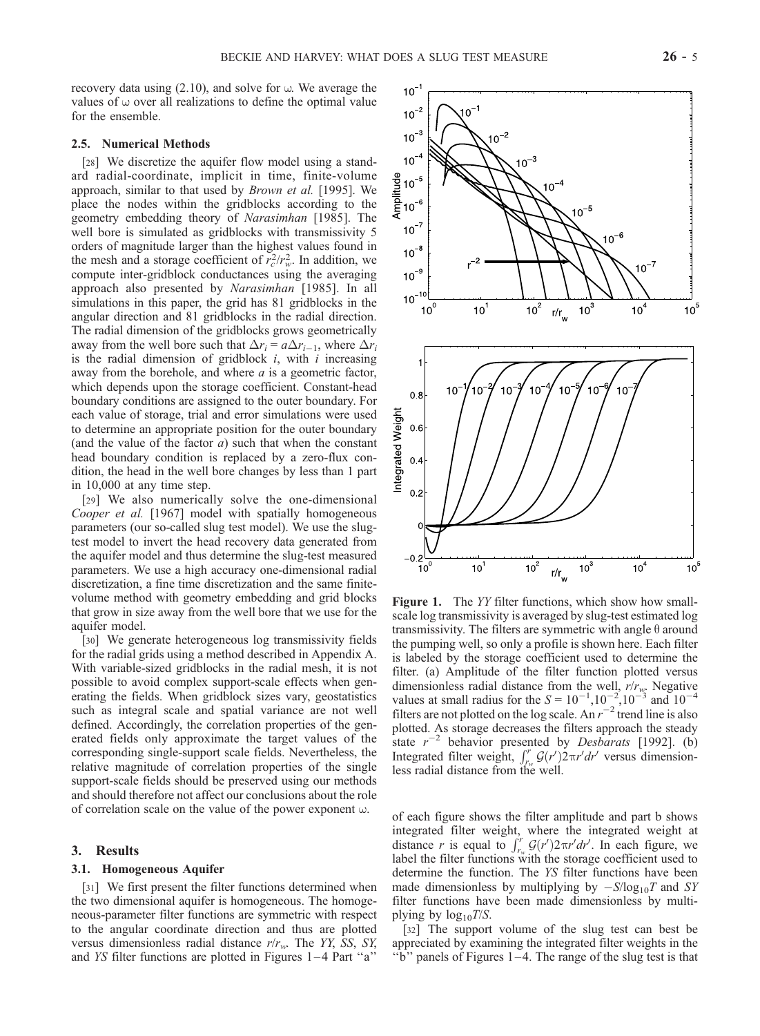recovery data using  $(2.10)$ , and solve for  $\omega$ . We average the values of  $\omega$  over all realizations to define the optimal value for the ensemble.

## 2.5. Numerical Methods

[28] We discretize the aquifer flow model using a standard radial-coordinate, implicit in time, finite-volume approach, similar to that used by Brown et al. [1995]. We place the nodes within the gridblocks according to the geometry embedding theory of Narasimhan [1985]. The well bore is simulated as gridblocks with transmissivity 5 orders of magnitude larger than the highest values found in the mesh and a storage coefficient of  $\overline{r_c^2}/r_w^2$ . In addition, we compute inter-gridblock conductances using the averaging approach also presented by Narasimhan [1985]. In all simulations in this paper, the grid has 81 gridblocks in the angular direction and 81 gridblocks in the radial direction. The radial dimension of the gridblocks grows geometrically away from the well bore such that  $\Delta r_i = a \Delta r_{i-1}$ , where  $\Delta r_i$ is the radial dimension of gridblock  $i$ , with  $i$  increasing away from the borehole, and where  $a$  is a geometric factor, which depends upon the storage coefficient. Constant-head boundary conditions are assigned to the outer boundary. For each value of storage, trial and error simulations were used to determine an appropriate position for the outer boundary (and the value of the factor  $a$ ) such that when the constant head boundary condition is replaced by a zero-flux condition, the head in the well bore changes by less than 1 part in 10,000 at any time step.

[29] We also numerically solve the one-dimensional Cooper et al. [1967] model with spatially homogeneous parameters (our so-called slug test model). We use the slugtest model to invert the head recovery data generated from the aquifer model and thus determine the slug-test measured parameters. We use a high accuracy one-dimensional radial discretization, a fine time discretization and the same finitevolume method with geometry embedding and grid blocks that grow in size away from the well bore that we use for the aquifer model.

[30] We generate heterogeneous log transmissivity fields for the radial grids using a method described in Appendix A. With variable-sized gridblocks in the radial mesh, it is not possible to avoid complex support-scale effects when generating the fields. When gridblock sizes vary, geostatistics such as integral scale and spatial variance are not well defined. Accordingly, the correlation properties of the generated fields only approximate the target values of the corresponding single-support scale fields. Nevertheless, the relative magnitude of correlation properties of the single support-scale fields should be preserved using our methods and should therefore not affect our conclusions about the role of correlation scale on the value of the power exponent  $\omega$ .

### 3. Results

#### 3.1. Homogeneous Aquifer

[31] We first present the filter functions determined when the two dimensional aquifer is homogeneous. The homogeneous-parameter filter functions are symmetric with respect to the angular coordinate direction and thus are plotted versus dimensionless radial distance  $r/r_w$ . The YY, SS, SY, and YS filter functions are plotted in Figures 1 – 4 Part ''a''



the pumping well, so only a profile is shown here. Each filter is labeled by the storage coefficient used to determine the filter. (a) Amplitude of the filter function plotted versus dimensionless radial distance from the well,  $r/r_{w}$ . Negative values at small radius for the  $S = 10^{-1}$ ,  $10^{-2}$ ,  $10^{-3}$  and  $10^{-4}$ filters are not plotted on the log scale. An  $r^{-2}$  trend line is also plotted. As storage decreases the filters approach the steady state  $r^{-2}$  behavior presented by *Desbarats* [1992]. (b) Integrated filter weight,  $\int_{r_w}^r G(r') 2\pi r' dr'$  versus dimensionless radial distance from the well.

of each figure shows the filter amplitude and part b shows integrated filter weight, where the integrated weight at distance r is equal to  $\int_{r_w}^r G(r') 2\pi r' dr'$ . In each figure, we label the filter functions with the storage coefficient used to determine the function. The YS filter functions have been made dimensionless by multiplying by  $-S/\log_{10}T$  and SY filter functions have been made dimensionless by multiplying by  $log_{10}T/S$ .

[32] The support volume of the slug test can best be appreciated by examining the integrated filter weights in the "b" panels of Figures  $1-4$ . The range of the slug test is that

 $10^{-1}$  $10^{-2}$ 

 $10^{-3}$ 

 $10^{-4}$ 

 $10^{\circ}$ 

 $10^{-2}$ 

 $10^{-3}$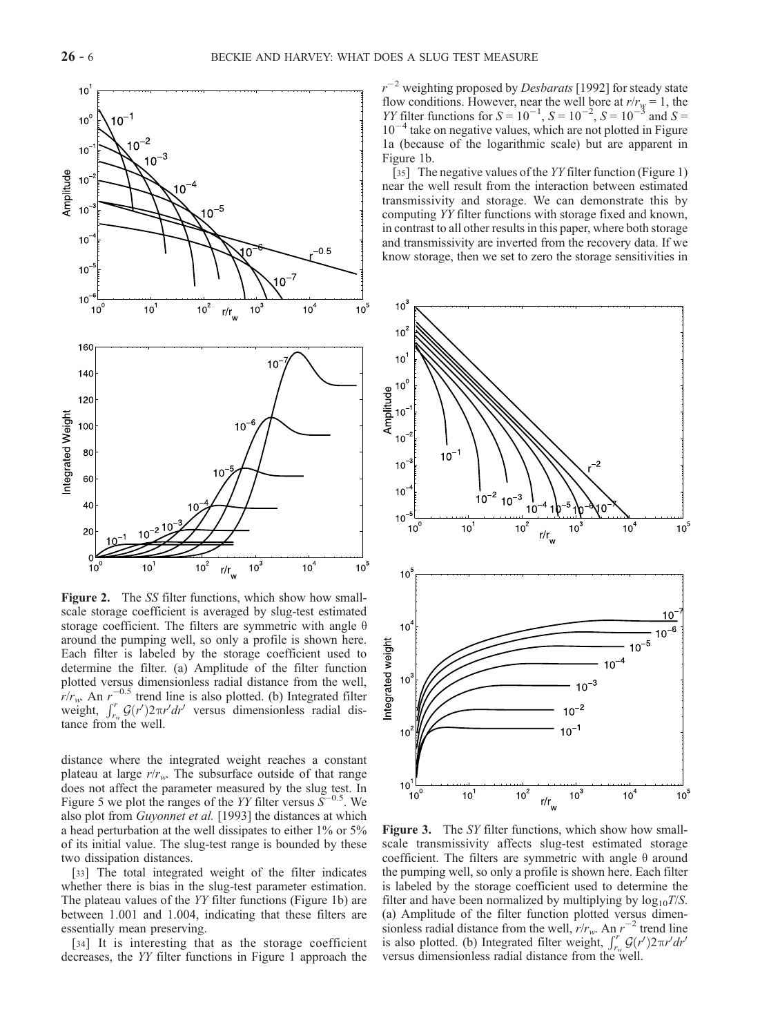

Figure 2. The SS filter functions, which show how smallscale storage coefficient is averaged by slug-test estimated storage coefficient. The filters are symmetric with angle  $\theta$ around the pumping well, so only a profile is shown here. Each filter is labeled by the storage coefficient used to determine the filter. (a) Amplitude of the filter function plotted versus dimensionless radial distance from the well,  $r/r_w$ . An  $r_c^{-0.5}$  trend line is also plotted. (b) Integrated filter weight,  $\int_{r_w}^{r} G(r') 2\pi r' dr'$  versus dimensionless radial distance from the well.

distance where the integrated weight reaches a constant plateau at large  $r/r_w$ . The subsurface outside of that range does not affect the parameter measured by the slug test. In Figure 5 we plot the ranges of the YY filter versus  $\bar{S}^{-0.5}$ . We also plot from Guyonnet et al. [1993] the distances at which a head perturbation at the well dissipates to either 1% or 5% of its initial value. The slug-test range is bounded by these two dissipation distances.

[33] The total integrated weight of the filter indicates whether there is bias in the slug-test parameter estimation. The plateau values of the YY filter functions (Figure 1b) are between 1.001 and 1.004, indicating that these filters are essentially mean preserving.

[34] It is interesting that as the storage coefficient decreases, the YY filter functions in Figure 1 approach the

 $r^{-2}$  weighting proposed by *Desbarats* [1992] for steady state flow conditions. However, near the well bore at  $r/r<sub>w</sub> = 1$ , the *YY* filter functions for  $S = 10^{-1}$ ,  $S = 10^{-2}$ ,  $S = 10^{-3}$  and  $S =$  $10^{-4}$  take on negative values, which are not plotted in Figure 1a (because of the logarithmic scale) but are apparent in Figure 1b.

[35] The negative values of the YY filter function (Figure 1) near the well result from the interaction between estimated transmissivity and storage. We can demonstrate this by computing YY filter functions with storage fixed and known, in contrast to all other results in this paper, where both storage and transmissivity are inverted from the recovery data. If we know storage, then we set to zero the storage sensitivities in



Figure 3. The SY filter functions, which show how smallscale transmissivity affects slug-test estimated storage coefficient. The filters are symmetric with angle  $\theta$  around the pumping well, so only a profile is shown here. Each filter is labeled by the storage coefficient used to determine the filter and have been normalized by multiplying by  $log_{10}T/S$ . (a) Amplitude of the filter function plotted versus dimensionless radial distance from the well,  $r/r_w$ . An  $r^{-2}$  trend line is also plotted. (b) Integrated filter weight,  $\int_{r_w}^{r} G(r') 2\pi r' dr'$ versus dimensionless radial distance from the well.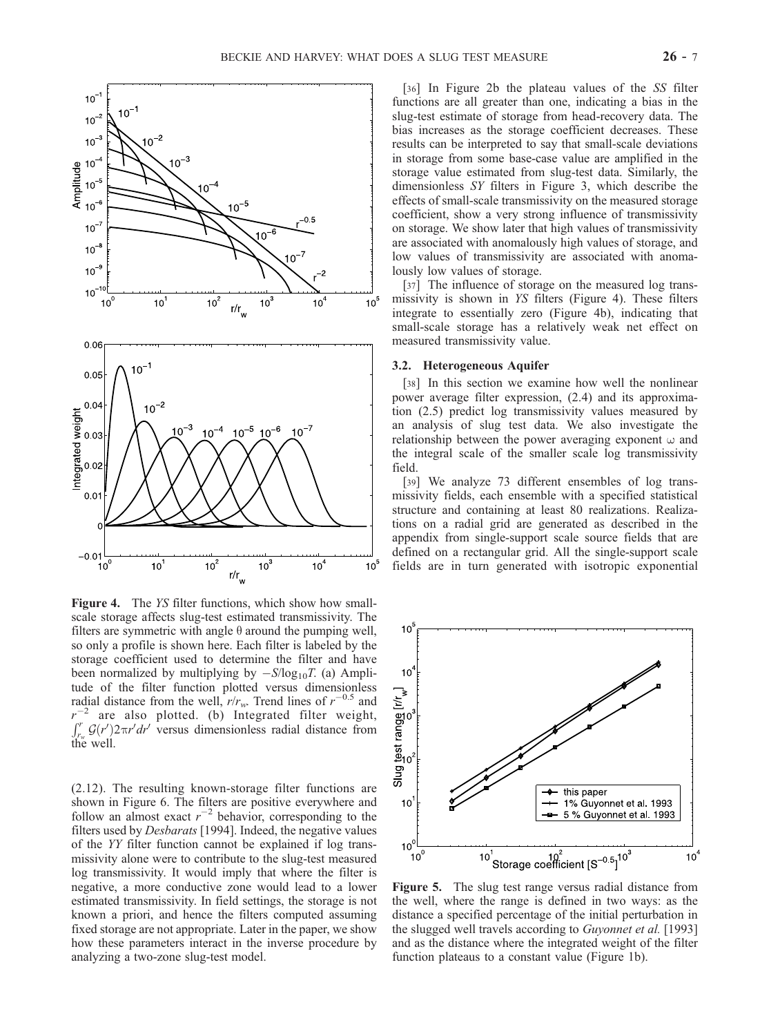

Figure 4. The YS filter functions, which show how smallscale storage affects slug-test estimated transmissivity. The filters are symmetric with angle  $\theta$  around the pumping well, so only a profile is shown here. Each filter is labeled by the storage coefficient used to determine the filter and have been normalized by multiplying by  $-S/\log_{10}T$ . (a) Amplitude of the filter function plotted versus dimensionless radial distance from the well,  $r/r_w$ . Trend lines of  $r^{-0.5}$  and r  $e^{-2}$  are also plotted. (b) Integrated filter weight,  $\int_{r_w}^r G(r') 2\pi r' dr'$  versus dimensionless radial distance from the well.

(2.12). The resulting known-storage filter functions are shown in Figure 6. The filters are positive everywhere and follow an almost exact  $r^{-2}$  behavior, corresponding to the filters used by Desbarats [1994]. Indeed, the negative values of the YY filter function cannot be explained if log transmissivity alone were to contribute to the slug-test measured log transmissivity. It would imply that where the filter is negative, a more conductive zone would lead to a lower estimated transmissivity. In field settings, the storage is not known a priori, and hence the filters computed assuming fixed storage are not appropriate. Later in the paper, we show how these parameters interact in the inverse procedure by analyzing a two-zone slug-test model.

[36] In Figure 2b the plateau values of the SS filter functions are all greater than one, indicating a bias in the slug-test estimate of storage from head-recovery data. The bias increases as the storage coefficient decreases. These results can be interpreted to say that small-scale deviations in storage from some base-case value are amplified in the storage value estimated from slug-test data. Similarly, the dimensionless SY filters in Figure 3, which describe the effects of small-scale transmissivity on the measured storage coefficient, show a very strong influence of transmissivity on storage. We show later that high values of transmissivity are associated with anomalously high values of storage, and low values of transmissivity are associated with anomalously low values of storage.

[37] The influence of storage on the measured log transmissivity is shown in YS filters (Figure 4). These filters integrate to essentially zero (Figure 4b), indicating that small-scale storage has a relatively weak net effect on measured transmissivity value.

#### 3.2. Heterogeneous Aquifer

[38] In this section we examine how well the nonlinear power average filter expression, (2.4) and its approximation (2.5) predict log transmissivity values measured by an analysis of slug test data. We also investigate the relationship between the power averaging exponent  $\omega$  and the integral scale of the smaller scale log transmissivity field.

[39] We analyze 73 different ensembles of log transmissivity fields, each ensemble with a specified statistical structure and containing at least 80 realizations. Realizations on a radial grid are generated as described in the appendix from single-support scale source fields that are defined on a rectangular grid. All the single-support scale fields are in turn generated with isotropic exponential



Figure 5. The slug test range versus radial distance from the well, where the range is defined in two ways: as the distance a specified percentage of the initial perturbation in the slugged well travels according to Guyonnet et al. [1993] and as the distance where the integrated weight of the filter function plateaus to a constant value (Figure 1b).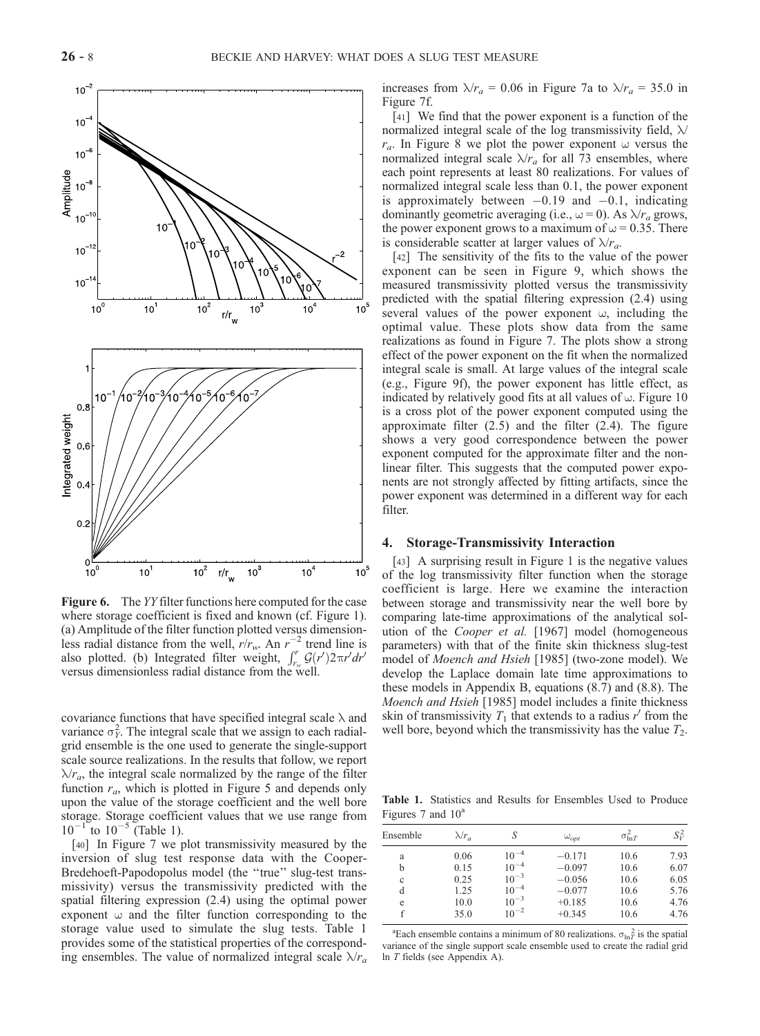

Figure 6. The YY filter functions here computed for the case where storage coefficient is fixed and known (cf. Figure 1). (a) Amplitude of the filter function plotted versus dimensionless radial distance from the well,  $r/r_w$ . An  $r^{-2}$  trend line is also plotted. (b) Integrated filter weight,  $\int_{r_w}^{r} \mathcal{G}(r') 2\pi r' dr'$ versus dimensionless radial distance from the well.

covariance functions that have specified integral scale  $\lambda$  and variance  $\sigma_Y^2$ . The integral scale that we assign to each radialgrid ensemble is the one used to generate the single-support scale source realizations. In the results that follow, we report  $\lambda r_a$ , the integral scale normalized by the range of the filter function  $r_a$ , which is plotted in Figure 5 and depends only upon the value of the storage coefficient and the well bore storage. Storage coefficient values that we use range from  $10^{-1}$  to  $10^{-5}$  (Table 1).

[40] In Figure 7 we plot transmissivity measured by the inversion of slug test response data with the Cooper-Bredehoeft-Papodopolus model (the "true" slug-test transmissivity) versus the transmissivity predicted with the spatial filtering expression (2.4) using the optimal power exponent  $\omega$  and the filter function corresponding to the storage value used to simulate the slug tests. Table 1 provides some of the statistical properties of the corresponding ensembles. The value of normalized integral scale  $\lambda/r_a$  increases from  $\lambda/r_a = 0.06$  in Figure 7a to  $\lambda/r_a = 35.0$  in Figure 7f.

[41] We find that the power exponent is a function of the normalized integral scale of the log transmissivity field,  $\lambda$ /  $r_a$ . In Figure 8 we plot the power exponent  $\omega$  versus the normalized integral scale  $\lambda/r_a$  for all 73 ensembles, where each point represents at least 80 realizations. For values of normalized integral scale less than 0.1, the power exponent is approximately between  $-0.19$  and  $-0.1$ , indicating dominantly geometric averaging (i.e.,  $\omega = 0$ ). As  $\lambda / r_a$  grows, the power exponent grows to a maximum of  $\omega$  = 0.35. There is considerable scatter at larger values of  $\lambda/r_a$ .

[42] The sensitivity of the fits to the value of the power exponent can be seen in Figure 9, which shows the measured transmissivity plotted versus the transmissivity predicted with the spatial filtering expression (2.4) using several values of the power exponent  $\omega$ , including the optimal value. These plots show data from the same realizations as found in Figure 7. The plots show a strong effect of the power exponent on the fit when the normalized integral scale is small. At large values of the integral scale (e.g., Figure 9f), the power exponent has little effect, as indicated by relatively good fits at all values of  $\omega$ . Figure 10 is a cross plot of the power exponent computed using the approximate filter (2.5) and the filter (2.4). The figure shows a very good correspondence between the power exponent computed for the approximate filter and the nonlinear filter. This suggests that the computed power exponents are not strongly affected by fitting artifacts, since the power exponent was determined in a different way for each filter.

## 4. Storage-Transmissivity Interaction

[43] A surprising result in Figure 1 is the negative values of the log transmissivity filter function when the storage coefficient is large. Here we examine the interaction between storage and transmissivity near the well bore by comparing late-time approximations of the analytical solution of the Cooper et al. [1967] model (homogeneous parameters) with that of the finite skin thickness slug-test model of Moench and Hsieh [1985] (two-zone model). We develop the Laplace domain late time approximations to these models in Appendix B, equations (8.7) and (8.8). The Moench and Hsieh [1985] model includes a finite thickness skin of transmissivity  $T_1$  that extends to a radius r' from the well bore, beyond which the transmissivity has the value  $T_2$ .

Table 1. Statistics and Results for Ensembles Used to Produce Figures 7 and  $10^a$ 

| Ensemble | $\lambda/r_a$ | S         | $\omega_{opt}$ | $\sigma_{\ln T}^2$ | $S_V^2$ |
|----------|---------------|-----------|----------------|--------------------|---------|
| a        | 0.06          | $10^{-4}$ | $-0.171$       | 10.6               | 7.93    |
| b        | 0.15          | $10^{-4}$ | $-0.097$       | 10.6               | 6.07    |
| c        | 0.25          | $10^{-3}$ | $-0.056$       | 10.6               | 6.05    |
| d        | 1.25          | $10^{-4}$ | $-0.077$       | 10.6               | 5.76    |
| e        | 10.0          | $10^{-3}$ | $+0.185$       | 10.6               | 4.76    |
|          | 35.0          | $10^{-2}$ | $+0.345$       | 10.6               | 4.76    |
|          |               |           |                |                    |         |

<sup>a</sup>Each ensemble contains a minimum of 80 realizations.  $\sigma_{\ln T}^2$  is the spatial variance of the single support scale ensemble used to create the radial grid ln T fields (see Appendix A).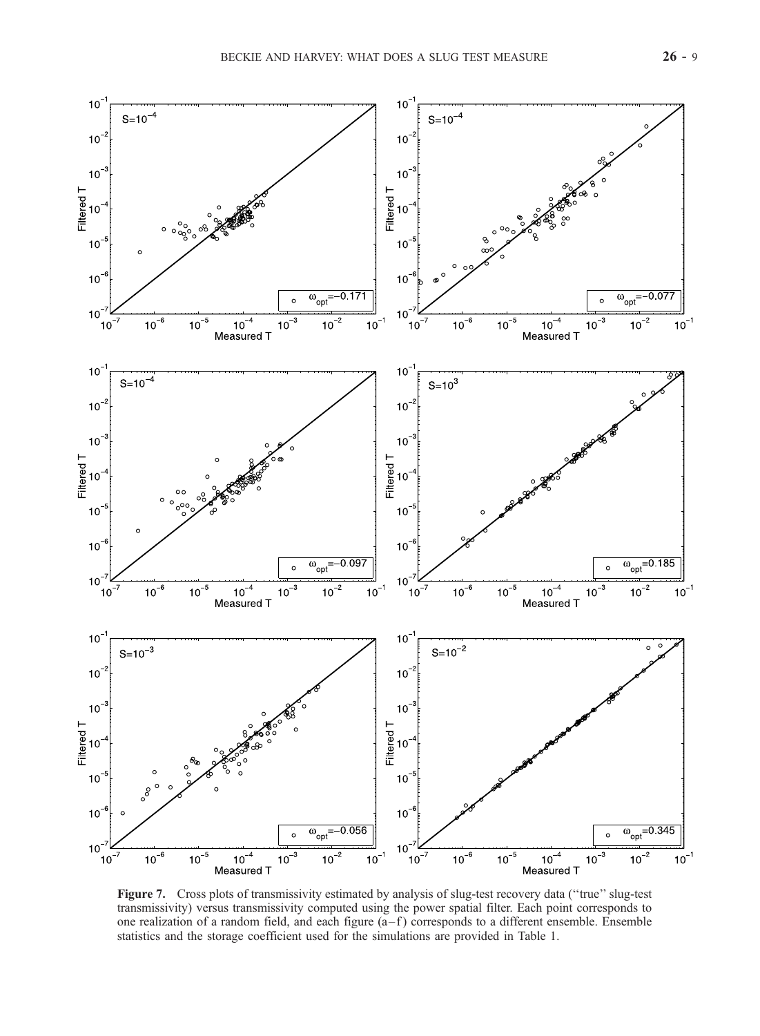

Figure 7. Cross plots of transmissivity estimated by analysis of slug-test recovery data ("true" slug-test") transmissivity) versus transmissivity computed using the power spatial filter. Each point corresponds to one realization of a random field, and each figure  $(a - f)$  corresponds to a different ensemble. Ensemble statistics and the storage coefficient used for the simulations are provided in Table 1.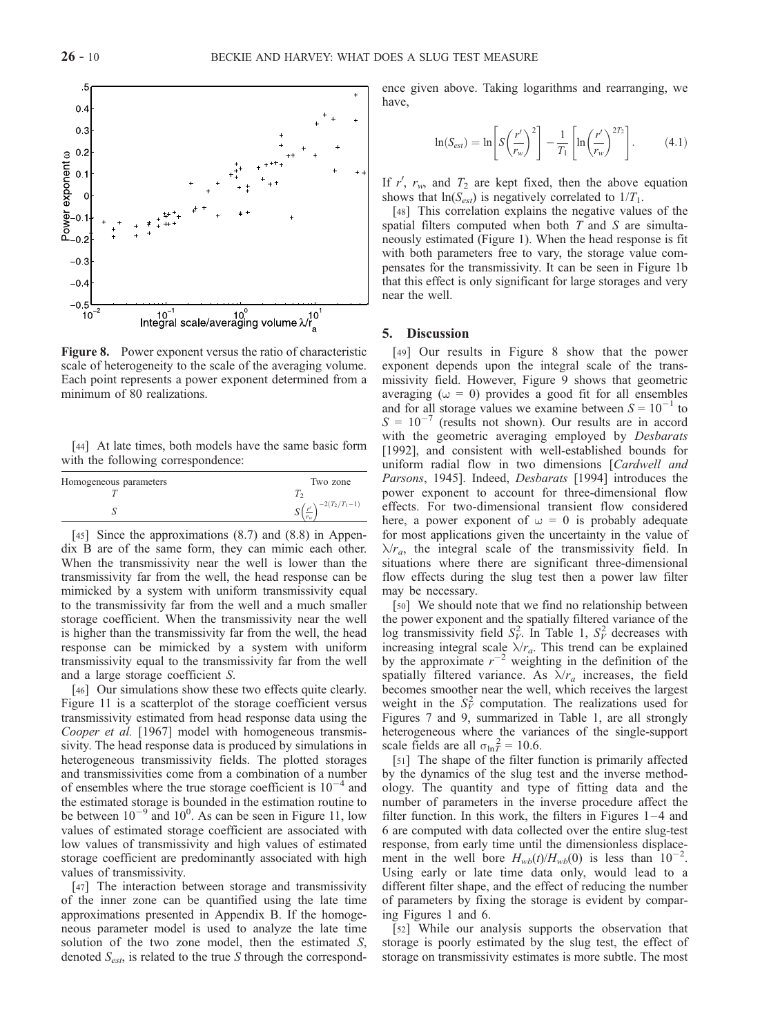

Figure 8. Power exponent versus the ratio of characteristic scale of heterogeneity to the scale of the averaging volume. Each point represents a power exponent determined from a minimum of 80 realizations.

[44] At late times, both models have the same basic form with the following correspondence:

| Homogeneous parameters | Two zone              |
|------------------------|-----------------------|
|                        |                       |
|                        | $-2(T_2/T_1-1)$<br>د، |

[45] Since the approximations  $(8.7)$  and  $(8.8)$  in Appendix B are of the same form, they can mimic each other. When the transmissivity near the well is lower than the transmissivity far from the well, the head response can be mimicked by a system with uniform transmissivity equal to the transmissivity far from the well and a much smaller storage coefficient. When the transmissivity near the well is higher than the transmissivity far from the well, the head response can be mimicked by a system with uniform transmissivity equal to the transmissivity far from the well and a large storage coefficient S.

[46] Our simulations show these two effects quite clearly. Figure 11 is a scatterplot of the storage coefficient versus transmissivity estimated from head response data using the Cooper et al. [1967] model with homogeneous transmissivity. The head response data is produced by simulations in heterogeneous transmissivity fields. The plotted storages and transmissivities come from a combination of a number of ensembles where the true storage coefficient is  $10^{-4}$  and the estimated storage is bounded in the estimation routine to be between  $10^{-9}$  and  $10^{0}$ . As can be seen in Figure 11, low values of estimated storage coefficient are associated with low values of transmissivity and high values of estimated storage coefficient are predominantly associated with high values of transmissivity.

[47] The interaction between storage and transmissivity of the inner zone can be quantified using the late time approximations presented in Appendix B. If the homogeneous parameter model is used to analyze the late time solution of the two zone model, then the estimated S, denoted  $S_{est}$ , is related to the true S through the correspondence given above. Taking logarithms and rearranging, we have,

$$
\ln(S_{est}) = \ln \left[ S \left( \frac{r'}{r_w} \right)^2 \right] - \frac{1}{T_1} \left[ \ln \left( \frac{r'}{r_w} \right)^{2T_2} \right]. \tag{4.1}
$$

If r',  $r_w$ , and  $T_2$  are kept fixed, then the above equation shows that  $ln(S_{est})$  is negatively correlated to  $1/T_1$ .

[48] This correlation explains the negative values of the spatial filters computed when both  $T$  and  $S$  are simultaneously estimated (Figure 1). When the head response is fit with both parameters free to vary, the storage value compensates for the transmissivity. It can be seen in Figure 1b that this effect is only significant for large storages and very near the well.

#### 5. Discussion

[49] Our results in Figure 8 show that the power exponent depends upon the integral scale of the transmissivity field. However, Figure 9 shows that geometric averaging ( $\omega = 0$ ) provides a good fit for all ensembles and for all storage values we examine between  $S = 10^{-1}$  to  $S = 10^{-7}$  (results not shown). Our results are in accord with the geometric averaging employed by Desbarats [1992], and consistent with well-established bounds for uniform radial flow in two dimensions [Cardwell and Parsons, 1945]. Indeed, *Desbarats* [1994] introduces the power exponent to account for three-dimensional flow effects. For two-dimensional transient flow considered here, a power exponent of  $\omega = 0$  is probably adequate for most applications given the uncertainty in the value of  $\lambda r_a$ , the integral scale of the transmissivity field. In situations where there are significant three-dimensional flow effects during the slug test then a power law filter may be necessary.

[50] We should note that we find no relationship between the power exponent and the spatially filtered variance of the log transmissivity field  $S_V^2$ . In Table 1,  $S_V^2$  decreases with increasing integral scale  $\lambda r_a$ . This trend can be explained by the approximate  $r^{-2}$  weighting in the definition of the spatially filtered variance. As  $\lambda/r_a$  increases, the field becomes smoother near the well, which receives the largest weight in the  $S_V^2$  computation. The realizations used for Figures 7 and 9, summarized in Table 1, are all strongly heterogeneous where the variances of the single-support scale fields are all  $\sigma_{\ln T}^2 = 10.6$ .

[51] The shape of the filter function is primarily affected by the dynamics of the slug test and the inverse methodology. The quantity and type of fitting data and the number of parameters in the inverse procedure affect the filter function. In this work, the filters in Figures  $1-4$  and 6 are computed with data collected over the entire slug-test response, from early time until the dimensionless displacement in the well bore  $H_{wb}(t)/H_{wb}(0)$  is less than  $10^{-2}$ . Using early or late time data only, would lead to a different filter shape, and the effect of reducing the number of parameters by fixing the storage is evident by comparing Figures 1 and 6.

[52] While our analysis supports the observation that storage is poorly estimated by the slug test, the effect of storage on transmissivity estimates is more subtle. The most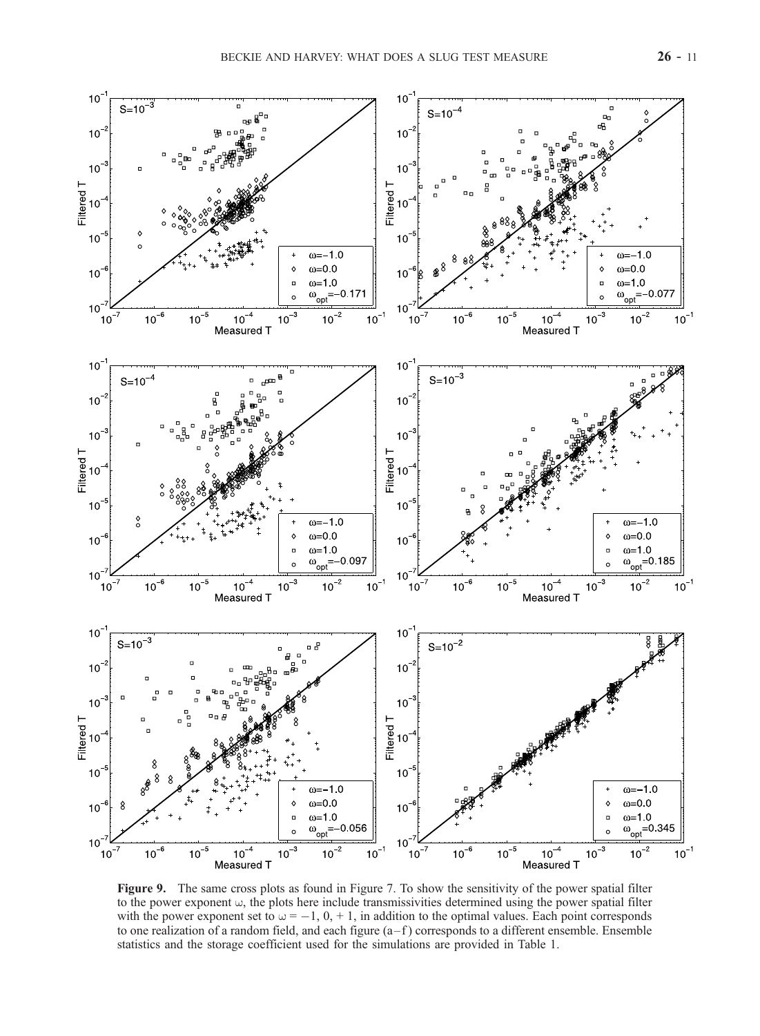

Figure 9. The same cross plots as found in Figure 7. To show the sensitivity of the power spatial filter to the power exponent  $\omega$ , the plots here include transmissivities determined using the power spatial filter with the power exponent set to  $\omega = -1$ , 0, + 1, in addition to the optimal values. Each point corresponds to one realization of a random field, and each figure  $(a - f)$  corresponds to a different ensemble. Ensemble statistics and the storage coefficient used for the simulations are provided in Table 1.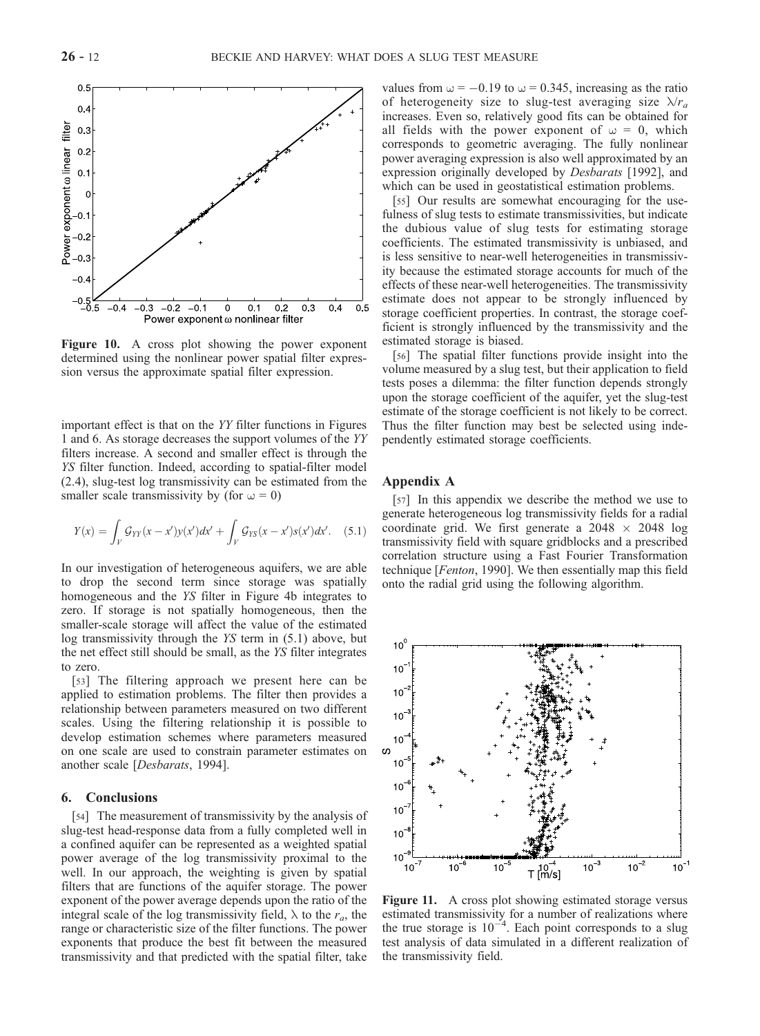

Figure 10. A cross plot showing the power exponent determined using the nonlinear power spatial filter expression versus the approximate spatial filter expression.

important effect is that on the YY filter functions in Figures 1 and 6. As storage decreases the support volumes of the YY filters increase. A second and smaller effect is through the YS filter function. Indeed, according to spatial-filter model (2.4), slug-test log transmissivity can be estimated from the smaller scale transmissivity by (for  $\omega = 0$ )

$$
Y(x) = \int_{V} \mathcal{G}_{YY}(x - x')y(x')dx' + \int_{V} \mathcal{G}_{YS}(x - x')s(x')dx'.
$$
 (5.1)

In our investigation of heterogeneous aquifers, we are able to drop the second term since storage was spatially homogeneous and the YS filter in Figure 4b integrates to zero. If storage is not spatially homogeneous, then the smaller-scale storage will affect the value of the estimated log transmissivity through the YS term in (5.1) above, but the net effect still should be small, as the YS filter integrates to zero.

[53] The filtering approach we present here can be applied to estimation problems. The filter then provides a relationship between parameters measured on two different scales. Using the filtering relationship it is possible to develop estimation schemes where parameters measured on one scale are used to constrain parameter estimates on another scale [Desbarats, 1994].

## 6. Conclusions

[54] The measurement of transmissivity by the analysis of slug-test head-response data from a fully completed well in a confined aquifer can be represented as a weighted spatial power average of the log transmissivity proximal to the well. In our approach, the weighting is given by spatial filters that are functions of the aquifer storage. The power exponent of the power average depends upon the ratio of the integral scale of the log transmissivity field,  $\lambda$  to the  $r_a$ , the range or characteristic size of the filter functions. The power exponents that produce the best fit between the measured transmissivity and that predicted with the spatial filter, take values from  $\omega = -0.19$  to  $\omega = 0.345$ , increasing as the ratio of heterogeneity size to slug-test averaging size  $\lambda/r_a$ increases. Even so, relatively good fits can be obtained for all fields with the power exponent of  $\omega = 0$ , which corresponds to geometric averaging. The fully nonlinear power averaging expression is also well approximated by an expression originally developed by Desbarats [1992], and which can be used in geostatistical estimation problems.

[55] Our results are somewhat encouraging for the usefulness of slug tests to estimate transmissivities, but indicate the dubious value of slug tests for estimating storage coefficients. The estimated transmissivity is unbiased, and is less sensitive to near-well heterogeneities in transmissivity because the estimated storage accounts for much of the effects of these near-well heterogeneities. The transmissivity estimate does not appear to be strongly influenced by storage coefficient properties. In contrast, the storage coefficient is strongly influenced by the transmissivity and the estimated storage is biased.

[56] The spatial filter functions provide insight into the volume measured by a slug test, but their application to field tests poses a dilemma: the filter function depends strongly upon the storage coefficient of the aquifer, yet the slug-test estimate of the storage coefficient is not likely to be correct. Thus the filter function may best be selected using independently estimated storage coefficients.

## Appendix A

[57] In this appendix we describe the method we use to generate heterogeneous log transmissivity fields for a radial coordinate grid. We first generate a  $2048 \times 2048$  log transmissivity field with square gridblocks and a prescribed correlation structure using a Fast Fourier Transformation technique [Fenton, 1990]. We then essentially map this field onto the radial grid using the following algorithm.



Figure 11. A cross plot showing estimated storage versus estimated transmissivity for a number of realizations where the true storage is  $10^{-4}$ . Each point corresponds to a slug test analysis of data simulated in a different realization of the transmissivity field.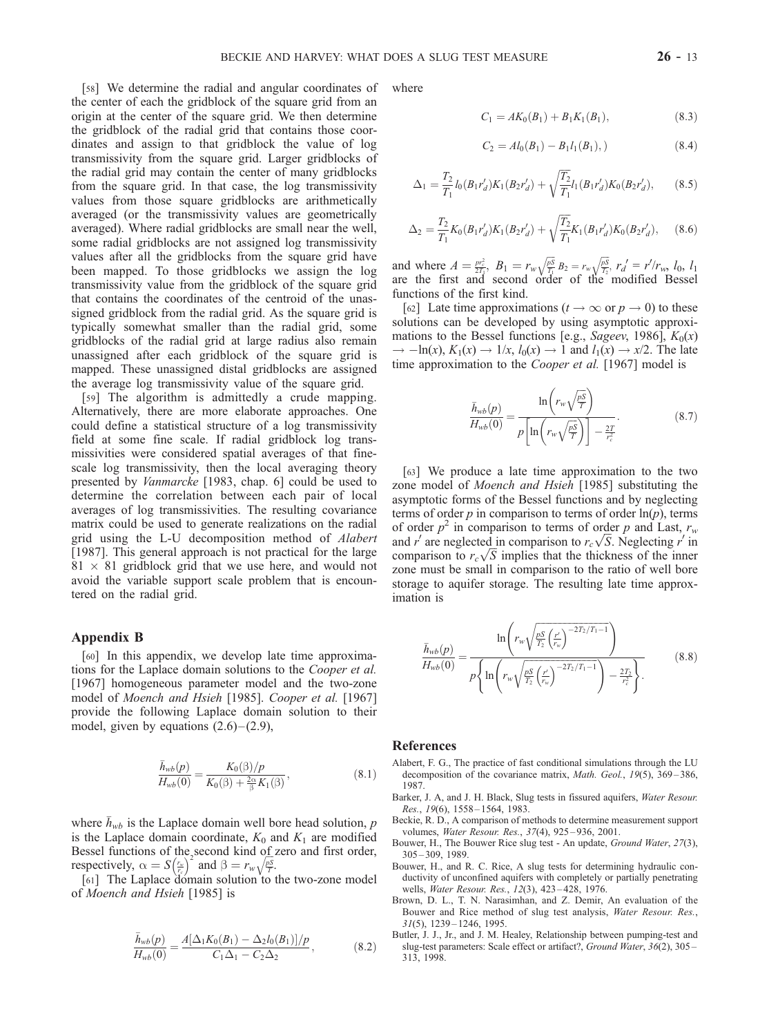[58] We determine the radial and angular coordinates of the center of each the gridblock of the square grid from an origin at the center of the square grid. We then determine the gridblock of the radial grid that contains those coordinates and assign to that gridblock the value of log transmissivity from the square grid. Larger gridblocks of the radial grid may contain the center of many gridblocks from the square grid. In that case, the log transmissivity values from those square gridblocks are arithmetically averaged (or the transmissivity values are geometrically averaged). Where radial gridblocks are small near the well, some radial gridblocks are not assigned log transmissivity values after all the gridblocks from the square grid have been mapped. To those gridblocks we assign the log transmissivity value from the gridblock of the square grid that contains the coordinates of the centroid of the unassigned gridblock from the radial grid. As the square grid is typically somewhat smaller than the radial grid, some gridblocks of the radial grid at large radius also remain unassigned after each gridblock of the square grid is mapped. These unassigned distal gridblocks are assigned the average log transmissivity value of the square grid.

[59] The algorithm is admittedly a crude mapping. Alternatively, there are more elaborate approaches. One could define a statistical structure of a log transmissivity field at some fine scale. If radial gridblock log transmissivities were considered spatial averages of that finescale log transmissivity, then the local averaging theory presented by Vanmarcke [1983, chap. 6] could be used to determine the correlation between each pair of local averages of log transmissivities. The resulting covariance matrix could be used to generate realizations on the radial grid using the L-U decomposition method of Alabert [1987]. This general approach is not practical for the large  $81 \times 81$  gridblock grid that we use here, and would not avoid the variable support scale problem that is encountered on the radial grid.

## Appendix B

[60] In this appendix, we develop late time approximations for the Laplace domain solutions to the Cooper et al. [1967] homogeneous parameter model and the two-zone model of Moench and Hsieh [1985]. Cooper et al. [1967] provide the following Laplace domain solution to their model, given by equations  $(2.6)$  –  $(2.9)$ ,

$$
\frac{\bar{h}_{wb}(p)}{H_{wb}(0)} = \frac{K_0(\beta)/p}{K_0(\beta) + \frac{2\alpha}{\beta}K_1(\beta)},
$$
\n(8.1)

where  $h_{wb}$  is the Laplace domain well bore head solution, p is the Laplace domain coordinate,  $K_0$  and  $K_1$  are modified Bessel functions of the second kind of zero and first order, respectively,  $\alpha = S(\frac{r_w}{r_c})^2$  and  $\beta = r_w \sqrt{\frac{p_S}{T}}$ .

[61] The Laplace domain solution to the two-zone model of Moench and Hsieh [1985] is

$$
\frac{\bar{h}_{wb}(p)}{H_{wb}(0)} = \frac{A[\Delta_1 K_0(B_1) - \Delta_2 l_0(B_1)]/p}{C_1 \Delta_1 - C_2 \Delta_2},
$$
\n(8.2)

where

$$
C_1 = AK_0(B_1) + B_1K_1(B_1), \t\t(8.3)
$$

$$
C_2 = Al_0(B_1) - B_1 l_1(B_1), \qquad (8.4)
$$

$$
\Delta_1 = \frac{T_2}{T_1} l_0(B_1 r'_d) K_1(B_2 r'_d) + \sqrt{\frac{T_2}{T_1}} l_1(B_1 r'_d) K_0(B_2 r'_d), \quad (8.5)
$$

$$
\Delta_2 = \frac{T_2}{T_1} K_0 (B_1 r'_d) K_1 (B_2 r'_d) + \sqrt{\frac{T_2}{T_1}} K_1 (B_1 r'_d) K_0 (B_2 r'_d), \quad (8.6)
$$

and where  $A = \frac{pr_c^2}{2T_1}$ ,  $B_1 = r_w \sqrt{\frac{pS}{T_1}}$  $\sqrt{\frac{pS}{T_1}} B_2 = r_w \sqrt{\frac{pS}{T_2}}$  $\sqrt{\frac{pS}{T_2}}$ ,  $r_d' = r'/r_w$ ,  $l_0$ ,  $l_1$ are the first and second order of the modified Bessel functions of the first kind.

[62] Late time approximations  $(t \to \infty \text{ or } p \to 0)$  to these solutions can be developed by using asymptotic approximations to the Bessel functions [e.g., Sageev, 1986],  $K_0(x)$  $\rightarrow$  -ln(x),  $K_1(x) \rightarrow 1/x$ ,  $l_0(x) \rightarrow 1$  and  $l_1(x) \rightarrow x/2$ . The late time approximation to the *Cooper et al.* [1967] model is

$$
\frac{\bar{h}_{wb}(p)}{H_{wb}(0)} = \frac{\ln\left(r_w\sqrt{\frac{pS}{T}}\right)}{p\left[\ln\left(r_w\sqrt{\frac{pS}{T}}\right)\right] - \frac{2T}{r_c^2}}.\tag{8.7}
$$

[63] We produce a late time approximation to the two zone model of *Moench and Hsieh* [1985] substituting the asymptotic forms of the Bessel functions and by neglecting terms of order p in comparison to terms of order  $ln(p)$ , terms of order  $p^2$  in comparison to terms of order p and Last,  $r_w$ of order  $p^2$  in comparison to terms of order p and Last,  $r_w$ <br>and  $r'$  are neglected in comparison to  $r_c\sqrt{S}$ . Neglecting  $r'$  in and *r* are neglected in comparison to  $r_c \sqrt{S}$ . Neglecting *r* in comparison to  $r_c \sqrt{S}$  implies that the thickness of the inner zone must be small in comparison to the ratio of well bore storage to aquifer storage. The resulting late time approximation is

$$
\bar{h}_{wb}(p) = \frac{\ln\left(r_w \sqrt{\frac{pS}{T_2} \left(\frac{r'}{r_w}\right)^{-2T_2/T_1 - 1}}\right)}{p \left\{\ln\left(r_w \sqrt{\frac{pS}{T_2} \left(\frac{r'}{r_w}\right)^{-2T_2/T_1 - 1}}\right) - \frac{2T_2}{r_c^2}\right\}}.
$$
\n(8.8)

#### References

- Alabert, F. G., The practice of fast conditional simulations through the LU decomposition of the covariance matrix, Math. Geol., 19(5), 369-386, 1987.
- Barker, J. A, and J. H. Black, Slug tests in fissured aquifers, Water Resour. Res., 19(6), 1558 – 1564, 1983.
- Beckie, R. D., A comparison of methods to determine measurement support volumes, Water Resour. Res., 37(4), 925 – 936, 2001.
- Bouwer, H., The Bouwer Rice slug test An update, Ground Water, 27(3), 305 – 309, 1989.
- Bouwer, H., and R. C. Rice, A slug tests for determining hydraulic conductivity of unconfined aquifers with completely or partially penetrating wells, Water Resour. Res., 12(3), 423 – 428, 1976.
- Brown, D. L., T. N. Narasimhan, and Z. Demir, An evaluation of the Bouwer and Rice method of slug test analysis, Water Resour. Res.,  $31(5)$ ,  $1239 - 1246$ ,  $1995$ .
- Butler, J. J., Jr., and J. M. Healey, Relationship between pumping-test and slug-test parameters: Scale effect or artifact?, Ground Water,  $36(2)$ ,  $305-$ 313, 1998.